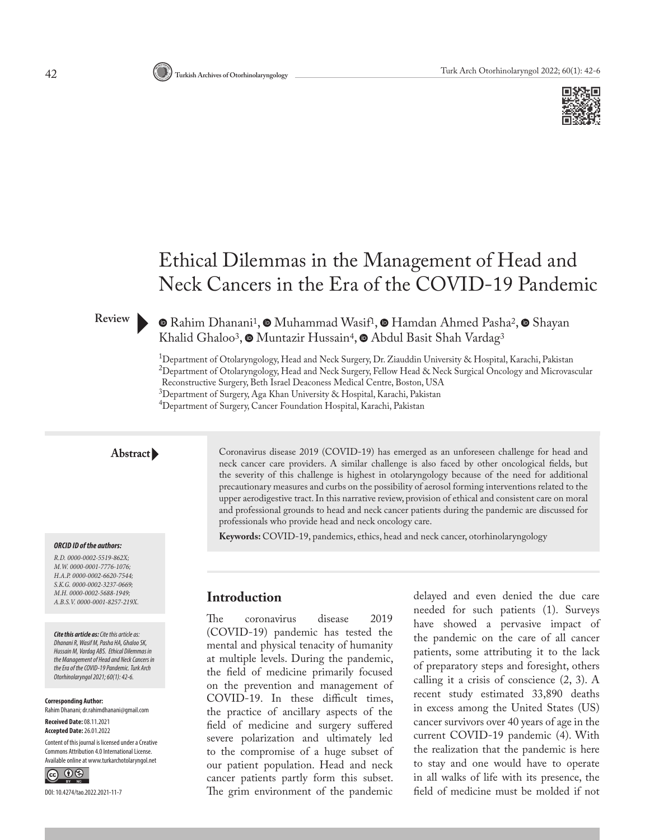

# Ethical Dilemmas in the Management of Head and Neck Cancers in the Era of the COVID-19 Pandemic

#### **Review**

#### $\odot$ Rahim Dhanani<sup>1</sup>,  $\odot$  Muhammad Wasif<sup>1</sup>,  $\odot$  Hamdan Ahmed Pasha<sup>2</sup>,  $\odot$  Shayan KhalidGhaloo<sup>3</sup>, <sup>O</sup> Muntazir Hussain<sup>4</sup>, O Abdul Basit Shah Vardag<sup>3</sup>

1 Department of Otolaryngology, Head and Neck Surgery, Dr. Ziauddin University & Hospital, Karachi, Pakistan  $^{2}$ Department of Otolaryngology, Head and Neck Surgery, Fellow Head & Neck Surgical Oncology and Microvascular Reconstructive Surgery, Beth Israel Deaconess Medical Centre, Boston, USA 3 Department of Surgery, Aga Khan University & Hospital, Karachi, Pakistan 4 Department of Surgery, Cancer Foundation Hospital, Karachi, Pakistan

#### **Abstract**

#### *ORCID ID of the authors:*

*R.D. 0000-0002-5519-862X; M.W. 0000-0001-7776-1076; H.A.P. 0000-0002-6620-7544; S.K.G. 0000-0002-3237-0669; M.H. 0000-0002-5688-1949; A.B.S.V. 0000-0001-8257-219X.*

*Cite this article as: Cite this article as: Dhanani R, Wasif M, Pasha HA, Ghaloo SK, Hussain M, Vardag ABS. Ethical Dilemmas in the Management of Head and Neck Cancers in the Era of the COVID-19 Pandemic. Turk Arch Otorhinolaryngol2021; 60(1): 42-6.*

**Corresponding Author:**  Rahim Dhanani; dr.rahimdhanani@gmail.com

**Received Date:** 08.11.2021 **Accepted Date:** 26.01.2022

Content of this journal is licensed under a Creative Commons Attribution 4.0 International License. Available online at www.turkarchotolaryngol.net



DOI: 10.4274/tao.2022.2021-11-7

Coronavirus disease 2019 (COVID-19) has emerged as an unforeseen challenge for head and neck cancer care providers. A similar challenge is also faced by other oncological fields, but the severity of this challenge is highest in otolaryngology because of the need for additional precautionary measures and curbs on the possibility of aerosol forming interventions related to the upper aerodigestive tract. In this narrative review, provision of ethical and consistent care on moral and professional grounds to head and neck cancer patients during the pandemic are discussed for professionals who provide head and neck oncology care.

**Keywords:** COVID-19, pandemics, ethics, head and neck cancer, otorhinolaryngology

#### **Introduction**

The coronavirus disease 2019 (COVID-19) pandemic has tested the mental and physical tenacity of humanity at multiple levels. During the pandemic, the field of medicine primarily focused on the prevention and management of COVID-19. In these difficult times, the practice of ancillary aspects of the field of medicine and surgery suffered severe polarization and ultimately led to the compromise of a huge subset of our patient population. Head and neck cancer patients partly form this subset. The grim environment of the pandemic

delayed and even denied the due care needed for such patients (1). Surveys have showed a pervasive impact of the pandemic on the care of all cancer patients, some attributing it to the lack of preparatory steps and foresight, others calling it a crisis of conscience (2, 3). A recent study estimated 33,890 deaths in excess among the United States (US) cancer survivors over 40 years of age in the current COVID-19 pandemic (4). With the realization that the pandemic is here to stay and one would have to operate in all walks of life with its presence, the field of medicine must be molded if not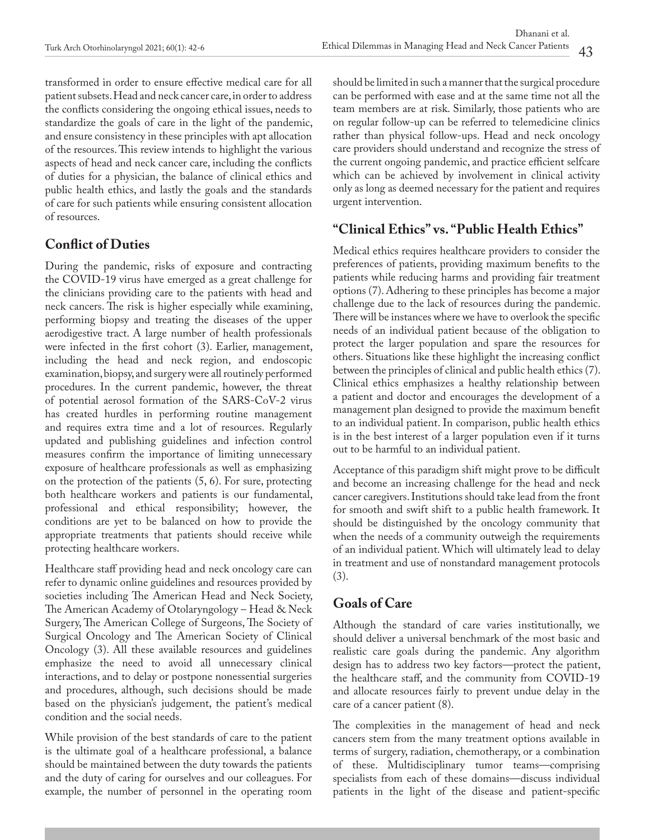transformed in order to ensure effective medical care for all patient subsets. Head and neck cancer care, in order to address the conflicts considering the ongoing ethical issues, needs to standardize the goals of care in the light of the pandemic, and ensure consistency in these principles with apt allocation of the resources. This review intends to highlight the various aspects of head and neck cancer care, including the conflicts of duties for a physician, the balance of clinical ethics and public health ethics, and lastly the goals and the standards of care for such patients while ensuring consistent allocation of resources.

# **Conflict of Duties**

During the pandemic, risks of exposure and contracting the COVID-19 virus have emerged as a great challenge for the clinicians providing care to the patients with head and neck cancers. The risk is higher especially while examining, performing biopsy and treating the diseases of the upper aerodigestive tract. A large number of health professionals were infected in the first cohort (3). Earlier, management, including the head and neck region, and endoscopic examination, biopsy, and surgery were all routinely performed procedures. In the current pandemic, however, the threat of potential aerosol formation of the SARS-CoV-2 virus has created hurdles in performing routine management and requires extra time and a lot of resources. Regularly updated and publishing guidelines and infection control measures confirm the importance of limiting unnecessary exposure of healthcare professionals as well as emphasizing on the protection of the patients (5, 6). For sure, protecting both healthcare workers and patients is our fundamental, professional and ethical responsibility; however, the conditions are yet to be balanced on how to provide the appropriate treatments that patients should receive while protecting healthcare workers.

Healthcare staff providing head and neck oncology care can refer to dynamic online guidelines and resources provided by societies including The American Head and Neck Society, The American Academy of Otolaryngology – Head & Neck Surgery, The American College of Surgeons, The Society of Surgical Oncology and The American Society of Clinical Oncology (3). All these available resources and guidelines emphasize the need to avoid all unnecessary clinical interactions, and to delay or postpone nonessential surgeries and procedures, although, such decisions should be made based on the physician's judgement, the patient's medical condition and the social needs.

While provision of the best standards of care to the patient is the ultimate goal of a healthcare professional, a balance should be maintained between the duty towards the patients and the duty of caring for ourselves and our colleagues. For example, the number of personnel in the operating room

should be limited in such a manner that the surgical procedure can be performed with ease and at the same time not all the team members are at risk. Similarly, those patients who are on regular follow-up can be referred to telemedicine clinics rather than physical follow-ups. Head and neck oncology care providers should understand and recognize the stress of the current ongoing pandemic, and practice efficient selfcare which can be achieved by involvement in clinical activity only as long as deemed necessary for the patient and requires urgent intervention.

### **"Clinical Ethics" vs. "Public Health Ethics"**

Medical ethics requires healthcare providers to consider the preferences of patients, providing maximum benefits to the patients while reducing harms and providing fair treatment options (7). Adhering to these principles has become a major challenge due to the lack of resources during the pandemic. There will be instances where we have to overlook the specific needs of an individual patient because of the obligation to protect the larger population and spare the resources for others. Situations like these highlight the increasing conflict between the principles of clinical and public health ethics (7). Clinical ethics emphasizes a healthy relationship between a patient and doctor and encourages the development of a management plan designed to provide the maximum benefit to an individual patient. In comparison, public health ethics is in the best interest of a larger population even if it turns out to be harmful to an individual patient.

Acceptance of this paradigm shift might prove to be difficult and become an increasing challenge for the head and neck cancer caregivers. Institutions should take lead from the front for smooth and swift shift to a public health framework. It should be distinguished by the oncology community that when the needs of a community outweigh the requirements of an individual patient. Which will ultimately lead to delay in treatment and use of nonstandard management protocols (3).

### **Goals of Care**

Although the standard of care varies institutionally, we should deliver a universal benchmark of the most basic and realistic care goals during the pandemic. Any algorithm design has to address two key factors—protect the patient, the healthcare staff, and the community from COVID-19 and allocate resources fairly to prevent undue delay in the care of a cancer patient (8).

The complexities in the management of head and neck cancers stem from the many treatment options available in terms of surgery, radiation, chemotherapy, or a combination of these. Multidisciplinary tumor teams—comprising specialists from each of these domains—discuss individual patients in the light of the disease and patient-specific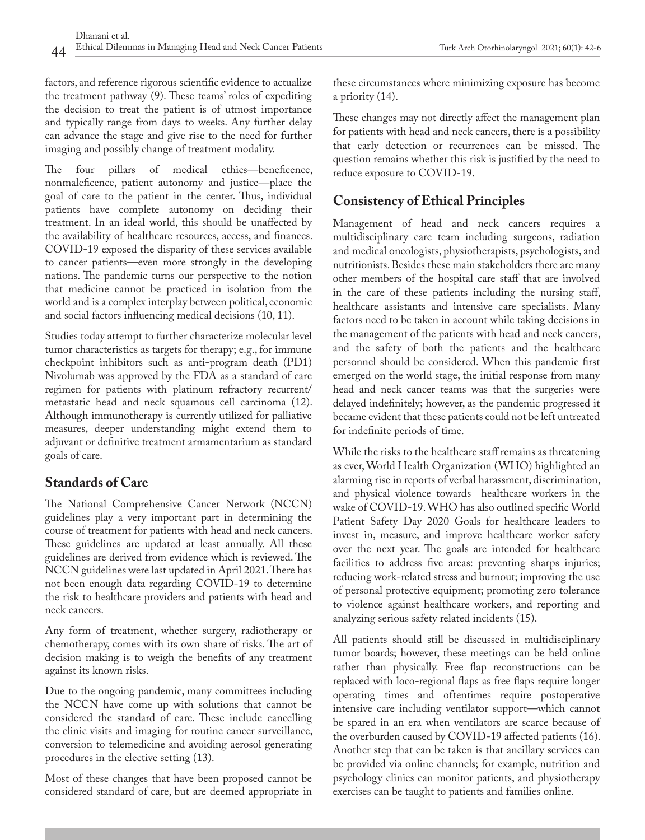factors, and reference rigorous scientific evidence to actualize the treatment pathway (9). These teams' roles of expediting the decision to treat the patient is of utmost importance and typically range from days to weeks. Any further delay can advance the stage and give rise to the need for further imaging and possibly change of treatment modality.

The four pillars of medical ethics—beneficence, nonmaleficence, patient autonomy and justice—place the goal of care to the patient in the center. Thus, individual patients have complete autonomy on deciding their treatment. In an ideal world, this should be unaffected by the availability of healthcare resources, access, and finances. COVID-19 exposed the disparity of these services available to cancer patients—even more strongly in the developing nations. The pandemic turns our perspective to the notion that medicine cannot be practiced in isolation from the world and is a complex interplay between political, economic and social factors influencing medical decisions (10, 11).

Studies today attempt to further characterize molecular level tumor characteristics as targets for therapy; e.g., for immune checkpoint inhibitors such as anti-program death (PD1) Nivolumab was approved by the FDA as a standard of care regimen for patients with platinum refractory recurrent/ metastatic head and neck squamous cell carcinoma (12). Although immunotherapy is currently utilized for palliative measures, deeper understanding might extend them to adjuvant or definitive treatment armamentarium as standard goals of care.

## **Standards of Care**

The National Comprehensive Cancer Network (NCCN) guidelines play a very important part in determining the course of treatment for patients with head and neck cancers. These guidelines are updated at least annually. All these guidelines are derived from evidence which is reviewed. The NCCN guidelines were last updated in April 2021. There has not been enough data regarding COVID-19 to determine the risk to healthcare providers and patients with head and neck cancers.

Any form of treatment, whether surgery, radiotherapy or chemotherapy, comes with its own share of risks. The art of decision making is to weigh the benefits of any treatment against its known risks.

Due to the ongoing pandemic, many committees including the NCCN have come up with solutions that cannot be considered the standard of care. These include cancelling the clinic visits and imaging for routine cancer surveillance, conversion to telemedicine and avoiding aerosol generating procedures in the elective setting (13).

Most of these changes that have been proposed cannot be considered standard of care, but are deemed appropriate in

these circumstances where minimizing exposure has become a priority (14).

These changes may not directly affect the management plan for patients with head and neck cancers, there is a possibility that early detection or recurrences can be missed. The question remains whether this risk is justified by the need to reduce exposure to COVID-19.

# **Consistency of Ethical Principles**

Management of head and neck cancers requires a multidisciplinary care team including surgeons, radiation and medical oncologists, physiotherapists, psychologists, and nutritionists. Besides these main stakeholders there are many other members of the hospital care staff that are involved in the care of these patients including the nursing staff, healthcare assistants and intensive care specialists. Many factors need to be taken in account while taking decisions in the management of the patients with head and neck cancers, and the safety of both the patients and the healthcare personnel should be considered. When this pandemic first emerged on the world stage, the initial response from many head and neck cancer teams was that the surgeries were delayed indefinitely; however, as the pandemic progressed it became evident that these patients could not be left untreated for indefinite periods of time.

While the risks to the healthcare staff remains as threatening as ever, World Health Organization (WHO) highlighted an alarming rise in reports of verbal harassment, discrimination, and physical violence towards healthcare workers in the wake of COVID-19. WHO has also outlined specific World Patient Safety Day 2020 Goals for healthcare leaders to invest in, measure, and improve healthcare worker safety over the next year. The goals are intended for healthcare facilities to address five areas: preventing sharps injuries; reducing work-related stress and burnout; improving the use of personal protective equipment; promoting zero tolerance to violence against healthcare workers, and reporting and analyzing serious safety related incidents (15).

All patients should still be discussed in multidisciplinary tumor boards; however, these meetings can be held online rather than physically. Free flap reconstructions can be replaced with loco-regional flaps as free flaps require longer operating times and oftentimes require postoperative intensive care including ventilator support—which cannot be spared in an era when ventilators are scarce because of the overburden caused by COVID-19 affected patients (16). Another step that can be taken is that ancillary services can be provided via online channels; for example, nutrition and psychology clinics can monitor patients, and physiotherapy exercises can be taught to patients and families online.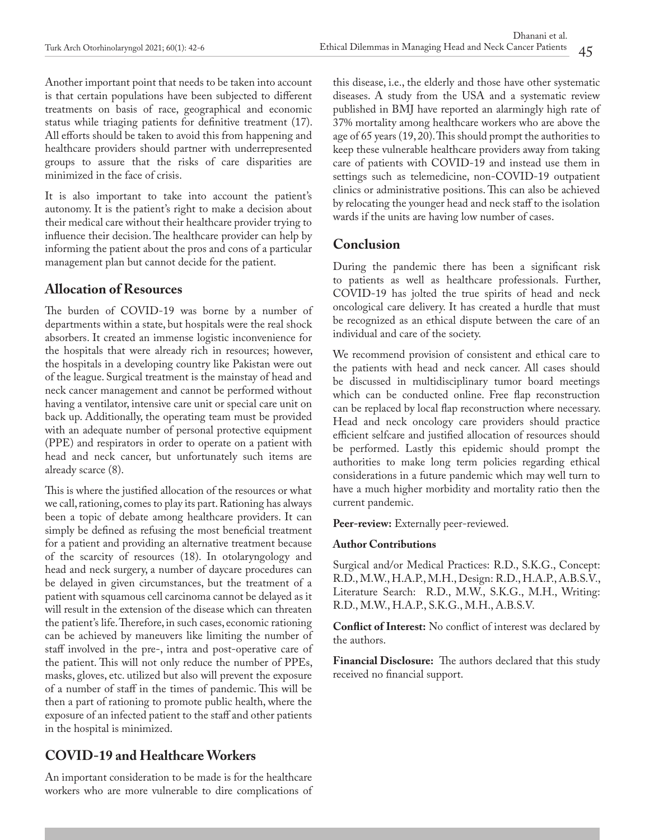Another important point that needs to be taken into account is that certain populations have been subjected to different treatments on basis of race, geographical and economic status while triaging patients for definitive treatment (17). All efforts should be taken to avoid this from happening and healthcare providers should partner with underrepresented groups to assure that the risks of care disparities are minimized in the face of crisis.

It is also important to take into account the patient's autonomy. It is the patient's right to make a decision about their medical care without their healthcare provider trying to influence their decision. The healthcare provider can help by informing the patient about the pros and cons of a particular management plan but cannot decide for the patient.

### **Allocation of Resources**

The burden of COVID-19 was borne by a number of departments within a state, but hospitals were the real shock absorbers. It created an immense logistic inconvenience for the hospitals that were already rich in resources; however, the hospitals in a developing country like Pakistan were out of the league. Surgical treatment is the mainstay of head and neck cancer management and cannot be performed without having a ventilator, intensive care unit or special care unit on back up. Additionally, the operating team must be provided with an adequate number of personal protective equipment (PPE) and respirators in order to operate on a patient with head and neck cancer, but unfortunately such items are already scarce (8).

This is where the justified allocation of the resources or what we call, rationing, comes to play its part. Rationing has always been a topic of debate among healthcare providers. It can simply be defined as refusing the most beneficial treatment for a patient and providing an alternative treatment because of the scarcity of resources (18). In otolaryngology and head and neck surgery, a number of daycare procedures can be delayed in given circumstances, but the treatment of a patient with squamous cell carcinoma cannot be delayed as it will result in the extension of the disease which can threaten the patient's life. Therefore, in such cases, economic rationing can be achieved by maneuvers like limiting the number of staff involved in the pre-, intra and post-operative care of the patient. This will not only reduce the number of PPEs, masks, gloves, etc. utilized but also will prevent the exposure of a number of staff in the times of pandemic. This will be then a part of rationing to promote public health, where the exposure of an infected patient to the staff and other patients in the hospital is minimized.

# **COVID-19 and Healthcare Workers**

An important consideration to be made is for the healthcare workers who are more vulnerable to dire complications of this disease, i.e., the elderly and those have other systematic diseases. A study from the USA and a systematic review published in BMJ have reported an alarmingly high rate of 37% mortality among healthcare workers who are above the age of 65 years (19, 20). This should prompt the authorities to keep these vulnerable healthcare providers away from taking care of patients with COVID-19 and instead use them in settings such as telemedicine, non-COVID-19 outpatient clinics or administrative positions. This can also be achieved by relocating the younger head and neck staff to the isolation wards if the units are having low number of cases.

## **Conclusion**

During the pandemic there has been a significant risk to patients as well as healthcare professionals. Further, COVID-19 has jolted the true spirits of head and neck oncological care delivery. It has created a hurdle that must be recognized as an ethical dispute between the care of an individual and care of the society.

We recommend provision of consistent and ethical care to the patients with head and neck cancer. All cases should be discussed in multidisciplinary tumor board meetings which can be conducted online. Free flap reconstruction can be replaced by local flap reconstruction where necessary. Head and neck oncology care providers should practice efficient selfcare and justified allocation of resources should be performed. Lastly this epidemic should prompt the authorities to make long term policies regarding ethical considerations in a future pandemic which may well turn to have a much higher morbidity and mortality ratio then the current pandemic.

**Peer-review:** Externally peer-reviewed.

#### **Author Contributions**

Surgical and/or Medical Practices: R.D., S.K.G., Concept: R.D., M.W., H.A.P., M.H., Design: R.D., H.A.P., A.B.S.V., Literature Search: R.D., M.W., S.K.G., M.H., Writing: R.D., M.W., H.A.P., S.K.G., M.H., A.B.S.V.

**Conflict of Interest:** No conflict of interest was declared by the authors.

**Financial Disclosure:** The authors declared that this study received no financial support.